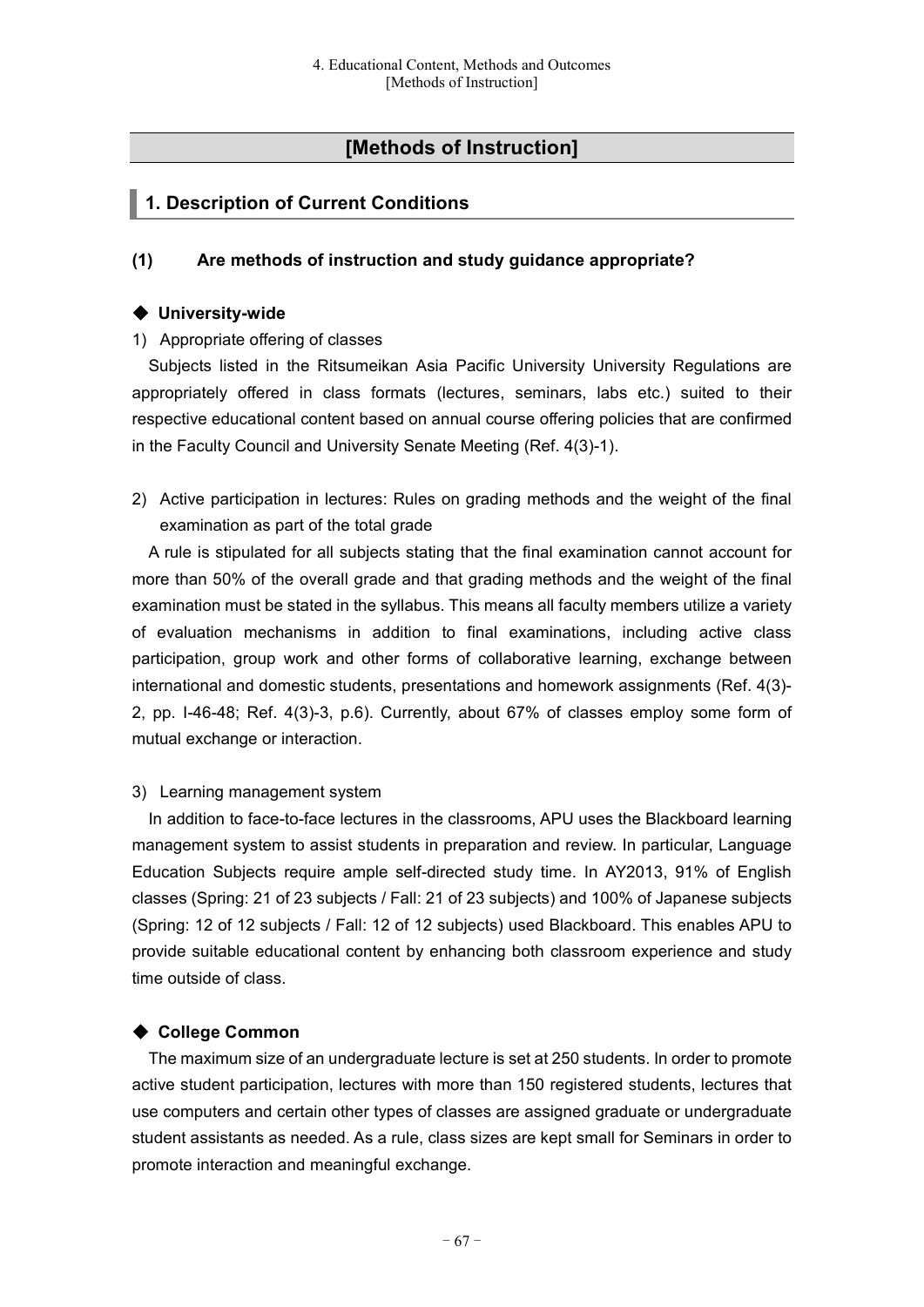# **[Methods of Instruction]**

# **1. Description of Current Conditions**

### **(1) Are methods of instruction and study guidance appropriate?**

#### ◆ **University-wide**

#### 1) Appropriate offering of classes

Subjects listed in the Ritsumeikan Asia Pacific University University Regulations are appropriately offered in class formats (lectures, seminars, labs etc.) suited to their respective educational content based on annual course offering policies that are confirmed in the Faculty Council and University Senate Meeting (Ref. 4(3)-1).

2) Active participation in lectures: Rules on grading methods and the weight of the final examination as part of the total grade

A rule is stipulated for all subjects stating that the final examination cannot account for more than 50% of the overall grade and that grading methods and the weight of the final examination must be stated in the syllabus. This means all faculty members utilize a variety of evaluation mechanisms in addition to final examinations, including active class participation, group work and other forms of collaborative learning, exchange between international and domestic students, presentations and homework assignments (Ref. 4(3)- 2, pp. I-46-48; Ref. 4(3)-3, p.6). Currently, about 67% of classes employ some form of mutual exchange or interaction.

#### 3) Learning management system

In addition to face-to-face lectures in the classrooms, APU uses the Blackboard learning management system to assist students in preparation and review. In particular, Language Education Subjects require ample self-directed study time. In AY2013, 91% of English classes (Spring: 21 of 23 subjects / Fall: 21 of 23 subjects) and 100% of Japanese subjects (Spring: 12 of 12 subjects / Fall: 12 of 12 subjects) used Blackboard. This enables APU to provide suitable educational content by enhancing both classroom experience and study time outside of class.

# ◆ **College Common**

The maximum size of an undergraduate lecture is set at 250 students. In order to promote active student participation, lectures with more than 150 registered students, lectures that use computers and certain other types of classes are assigned graduate or undergraduate student assistants as needed. As a rule, class sizes are kept small for Seminars in order to promote interaction and meaningful exchange.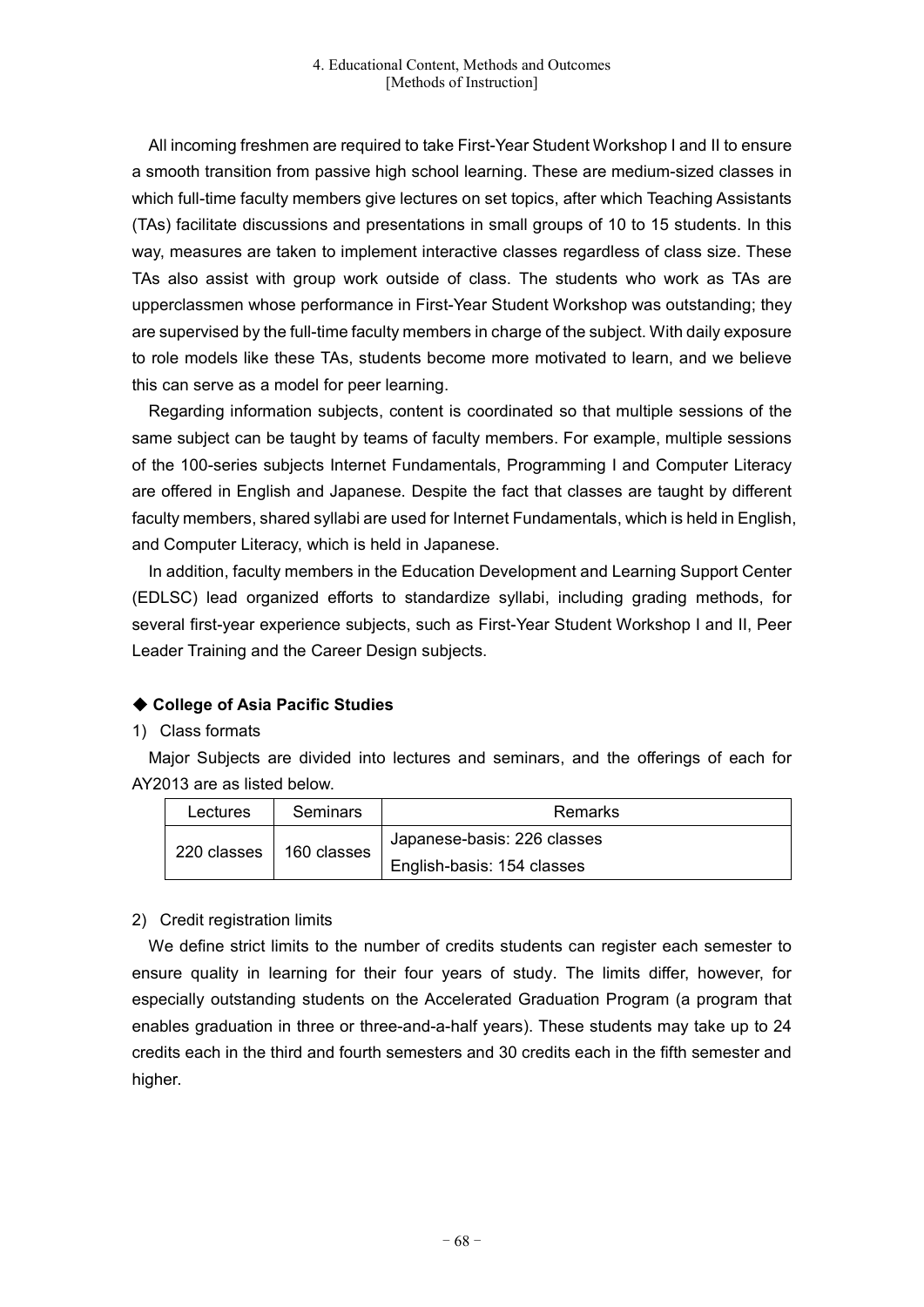All incoming freshmen are required to take First-Year Student Workshop I and II to ensure a smooth transition from passive high school learning. These are medium-sized classes in which full-time faculty members give lectures on set topics, after which Teaching Assistants (TAs) facilitate discussions and presentations in small groups of 10 to 15 students. In this way, measures are taken to implement interactive classes regardless of class size. These TAs also assist with group work outside of class. The students who work as TAs are upperclassmen whose performance in First-Year Student Workshop was outstanding; they are supervised by the full-time faculty members in charge of the subject. With daily exposure to role models like these TAs, students become more motivated to learn, and we believe this can serve as a model for peer learning.

Regarding information subjects, content is coordinated so that multiple sessions of the same subject can be taught by teams of faculty members. For example, multiple sessions of the 100-series subjects Internet Fundamentals, Programming I and Computer Literacy are offered in English and Japanese. Despite the fact that classes are taught by different faculty members, shared syllabi are used for Internet Fundamentals, which is held in English, and Computer Literacy, which is held in Japanese.

In addition, faculty members in the Education Development and Learning Support Center (EDLSC) lead organized efforts to standardize syllabi, including grading methods, for several first-year experience subjects, such as First-Year Student Workshop I and II, Peer Leader Training and the Career Design subjects.

# ◆ **College of Asia Pacific Studies**

# 1) Class formats

Major Subjects are divided into lectures and seminars, and the offerings of each for AY2013 are as listed below.

| Lectures                   | <b>Seminars</b> | Remarks                     |
|----------------------------|-----------------|-----------------------------|
| 220 classes<br>160 classes |                 | Japanese-basis: 226 classes |
|                            |                 | English-basis: 154 classes  |

# 2) Credit registration limits

We define strict limits to the number of credits students can register each semester to ensure quality in learning for their four years of study. The limits differ, however, for especially outstanding students on the Accelerated Graduation Program (a program that enables graduation in three or three-and-a-half years). These students may take up to 24 credits each in the third and fourth semesters and 30 credits each in the fifth semester and higher.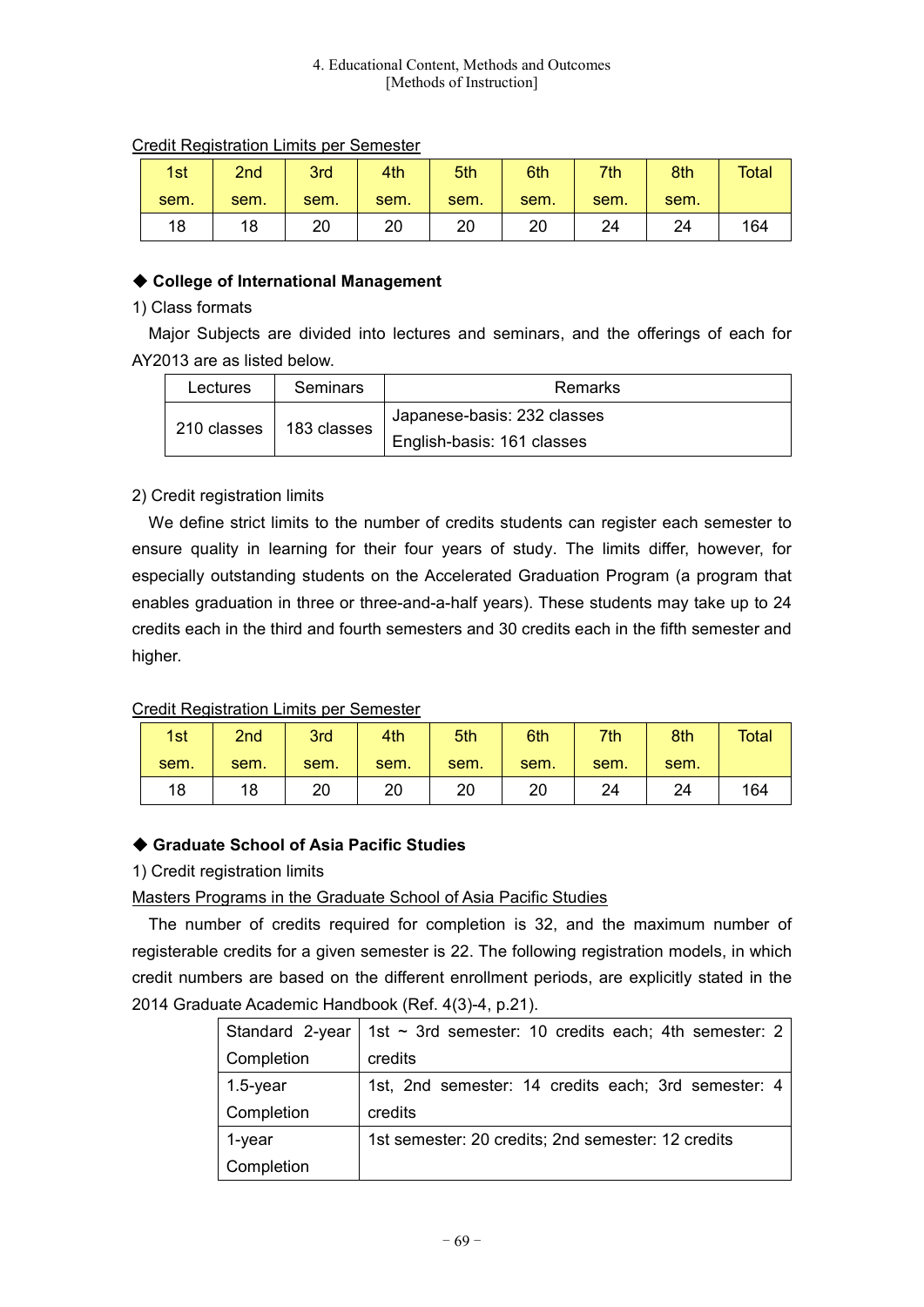#### 4. Educational Content, Methods and Outcomes [Methods of Instruction]

| 1st  | 2nd  | 3rd  | 4th  | 5th  | 6th  | 7th  | 8th  | <b>Total</b> |
|------|------|------|------|------|------|------|------|--------------|
| sem. | sem. | sem. | sem. | sem. | sem. | sem. | sem. |              |
| 18   | 18   | 20   | 20   | 20   | 20   | 24   | 24   | 164          |

# Credit Registration Limits per Semester

# ◆ **College of International Management**

### 1) Class formats

Major Subjects are divided into lectures and seminars, and the offerings of each for AY2013 are as listed below.

| Lectures | Seminars                  | Remarks                     |  |
|----------|---------------------------|-----------------------------|--|
|          | 210 classes   183 classes | Japanese-basis: 232 classes |  |
|          |                           | English-basis: 161 classes  |  |

# 2) Credit registration limits

We define strict limits to the number of credits students can register each semester to ensure quality in learning for their four years of study. The limits differ, however, for especially outstanding students on the Accelerated Graduation Program (a program that enables graduation in three or three-and-a-half years). These students may take up to 24 credits each in the third and fourth semesters and 30 credits each in the fifth semester and higher.

# Credit Registration Limits per Semester

| 1st  | 2nd  | 3rd  | 4th  | 5th  | 6th  | 7th  | 8th  | <b>Total</b> |
|------|------|------|------|------|------|------|------|--------------|
| sem. | sem. | sem. | sem. | sem. | sem. | sem. | sem. |              |
| 18   | 18   | 20   | 20   | 20   | 20   | 24   | 24   | 164          |

# ◆ **Graduate School of Asia Pacific Studies**

# 1) Credit registration limits

# Masters Programs in the Graduate School of Asia Pacific Studies

The number of credits required for completion is 32, and the maximum number of registerable credits for a given semester is 22. The following registration models, in which credit numbers are based on the different enrollment periods, are explicitly stated in the 2014 Graduate Academic Handbook (Ref. 4(3)-4, p.21).

| Standard 2-year | 1st $\sim$ 3rd semester: 10 credits each; 4th semester: 2 |
|-----------------|-----------------------------------------------------------|
| Completion      | credits                                                   |
| $1.5$ -year     | 1st, 2nd semester: 14 credits each; 3rd semester: 4       |
| Completion      | credits                                                   |
| 1-year          | 1st semester: 20 credits; 2nd semester: 12 credits        |
| Completion      |                                                           |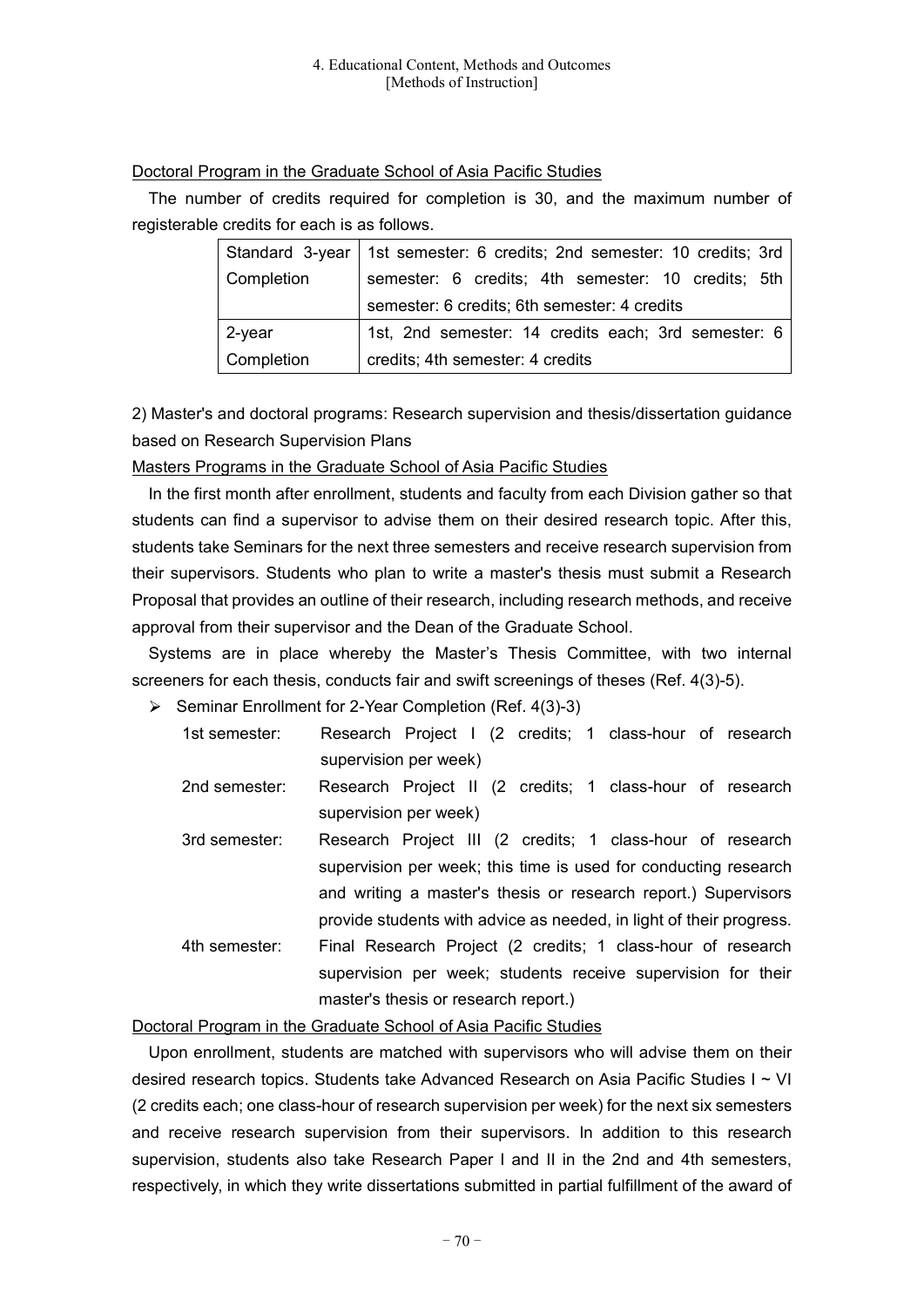### Doctoral Program in the Graduate School of Asia Pacific Studies

The number of credits required for completion is 30, and the maximum number of registerable credits for each is as follows.

|                | Standard 3-year   1st semester: 6 credits; 2nd semester: 10 credits; 3rd |  |
|----------------|--------------------------------------------------------------------------|--|
| Completion     | semester: 6 credits; 4th semester: 10 credits; 5th                       |  |
|                | semester: 6 credits; 6th semester: 4 credits                             |  |
| $\vert$ 2-year | 1st, 2nd semester: 14 credits each; 3rd semester: 6                      |  |
| Completion     | credits; 4th semester: 4 credits                                         |  |

2) Master's and doctoral programs: Research supervision and thesis/dissertation guidance based on Research Supervision Plans

Masters Programs in the Graduate School of Asia Pacific Studies

In the first month after enrollment, students and faculty from each Division gather so that students can find a supervisor to advise them on their desired research topic. After this, students take Seminars for the next three semesters and receive research supervision from their supervisors. Students who plan to write a master's thesis must submit a Research Proposal that provides an outline of their research, including research methods, and receive approval from their supervisor and the Dean of the Graduate School.

Systems are in place whereby the Master's Thesis Committee, with two internal screeners for each thesis, conducts fair and swift screenings of theses (Ref. 4(3)-5).

 $\triangleright$  Seminar Enrollment for 2-Year Completion (Ref. 4(3)-3)

| 1st semester: | Research Project I (2 credits; 1 class-hour of research             |
|---------------|---------------------------------------------------------------------|
|               | supervision per week)                                               |
| 2nd semester: | Research Project II (2 credits; 1 class-hour of research            |
|               | supervision per week)                                               |
| 3rd semester: | Research Project III (2 credits; 1 class-hour of research           |
|               | supervision per week; this time is used for conducting research     |
|               | and writing a master's thesis or research report.) Supervisors      |
|               | provide students with advice as needed, in light of their progress. |
| 4th semester: | Final Research Project (2 credits; 1 class-hour of research         |
|               | supervision per week; students receive supervision for their        |
|               | master's thesis or research report.)                                |

Doctoral Program in the Graduate School of Asia Pacific Studies

Upon enrollment, students are matched with supervisors who will advise them on their desired research topics. Students take Advanced Research on Asia Pacific Studies I ~ VI (2 credits each; one class-hour of research supervision per week) for the next six semesters and receive research supervision from their supervisors. In addition to this research supervision, students also take Research Paper I and II in the 2nd and 4th semesters, respectively, in which they write dissertations submitted in partial fulfillment of the award of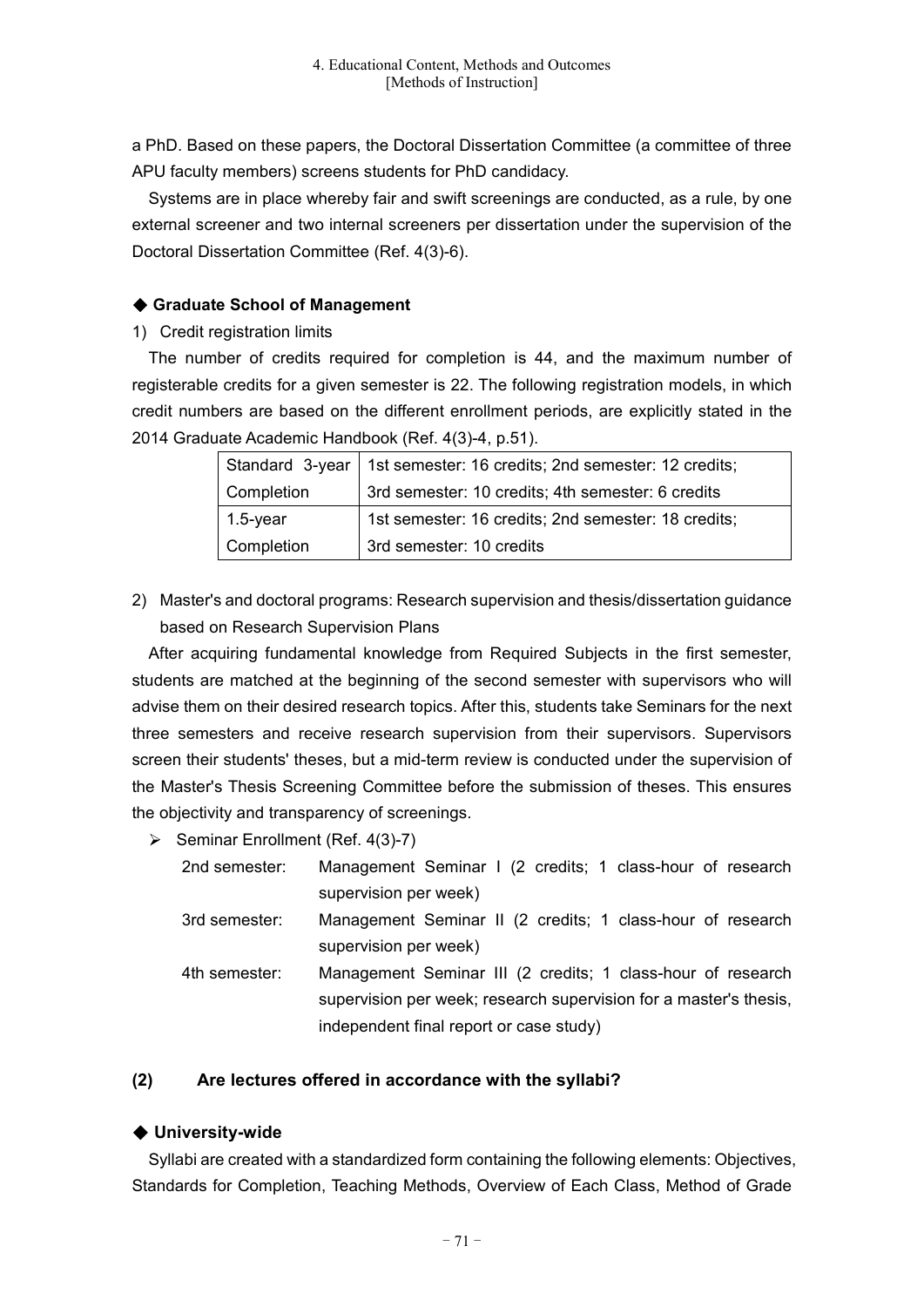a PhD. Based on these papers, the Doctoral Dissertation Committee (a committee of three APU faculty members) screens students for PhD candidacy.

Systems are in place whereby fair and swift screenings are conducted, as a rule, by one external screener and two internal screeners per dissertation under the supervision of the Doctoral Dissertation Committee (Ref. 4(3)-6).

# ◆ **Graduate School of Management**

1) Credit registration limits

The number of credits required for completion is 44, and the maximum number of registerable credits for a given semester is 22. The following registration models, in which credit numbers are based on the different enrollment periods, are explicitly stated in the 2014 Graduate Academic Handbook (Ref. 4(3)-4, p.51).

| Standard 3-year | 1st semester: 16 credits; 2nd semester: 12 credits; |
|-----------------|-----------------------------------------------------|
| Completion      | 3rd semester: 10 credits; 4th semester: 6 credits   |
| $1.5$ -year     | 1st semester: 16 credits; 2nd semester: 18 credits; |
| Completion      | 3rd semester: 10 credits                            |

2) Master's and doctoral programs: Research supervision and thesis/dissertation guidance based on Research Supervision Plans

After acquiring fundamental knowledge from Required Subjects in the first semester, students are matched at the beginning of the second semester with supervisors who will advise them on their desired research topics. After this, students take Seminars for the next three semesters and receive research supervision from their supervisors. Supervisors screen their students' theses, but a mid-term review is conducted under the supervision of the Master's Thesis Screening Committee before the submission of theses. This ensures the objectivity and transparency of screenings.

Seminar Enrollment (Ref. 4(3)-7)

2nd semester: Management Seminar I (2 credits; 1 class-hour of research supervision per week)

- 3rd semester: Management Seminar II (2 credits; 1 class-hour of research supervision per week)
- 4th semester: Management Seminar III (2 credits; 1 class-hour of research supervision per week; research supervision for a master's thesis, independent final report or case study)

# **(2) Are lectures offered in accordance with the syllabi?**

# ◆ **University-wide**

Syllabi are created with a standardized form containing the following elements: Objectives, Standards for Completion, Teaching Methods, Overview of Each Class, Method of Grade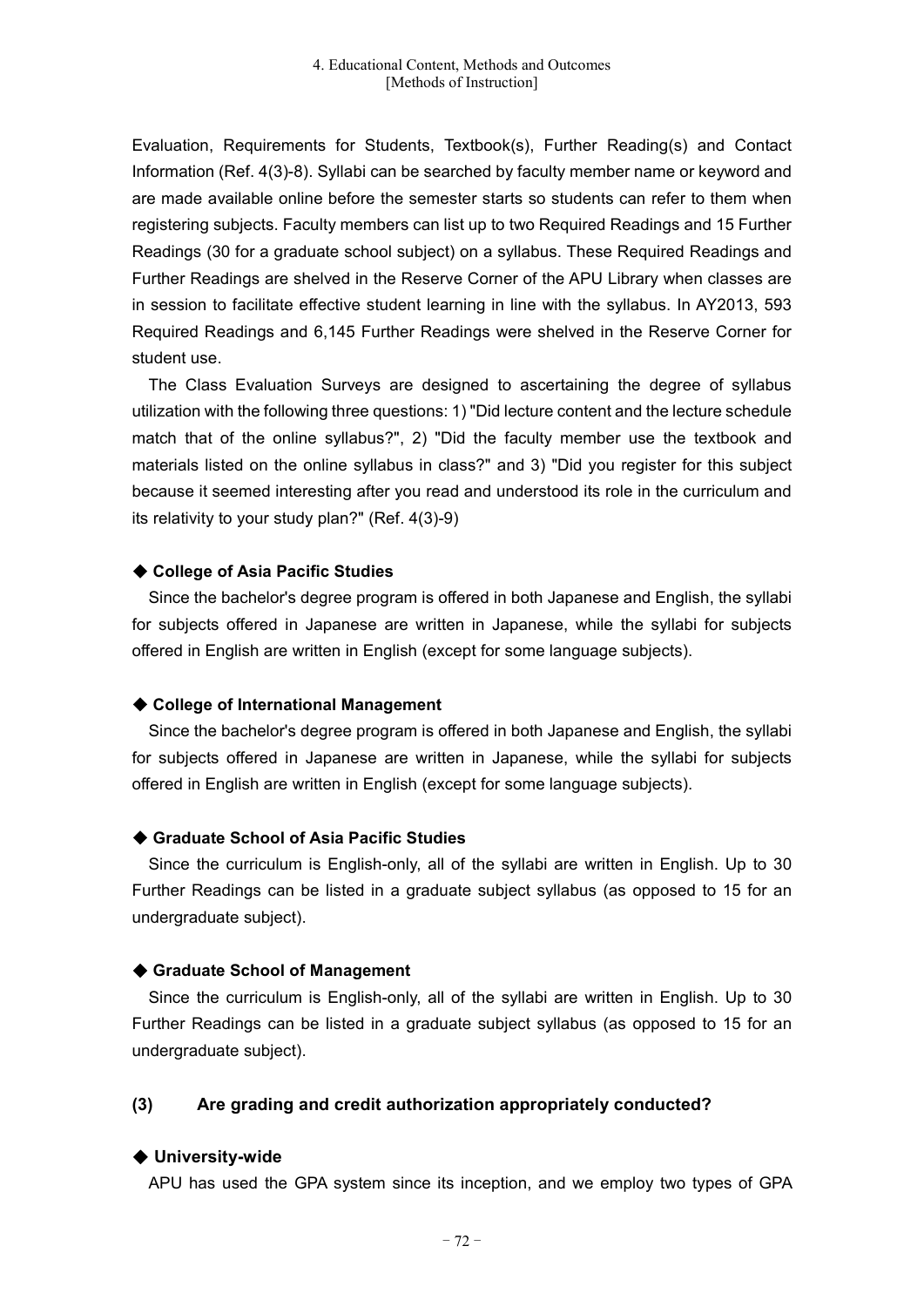Evaluation, Requirements for Students, Textbook(s), Further Reading(s) and Contact Information (Ref. 4(3)-8). Syllabi can be searched by faculty member name or keyword and are made available online before the semester starts so students can refer to them when registering subjects. Faculty members can list up to two Required Readings and 15 Further Readings (30 for a graduate school subject) on a syllabus. These Required Readings and Further Readings are shelved in the Reserve Corner of the APU Library when classes are in session to facilitate effective student learning in line with the syllabus. In AY2013, 593 Required Readings and 6,145 Further Readings were shelved in the Reserve Corner for student use.

The Class Evaluation Surveys are designed to ascertaining the degree of syllabus utilization with the following three questions: 1) "Did lecture content and the lecture schedule match that of the online syllabus?", 2) "Did the faculty member use the textbook and materials listed on the online syllabus in class?" and 3) "Did you register for this subject because it seemed interesting after you read and understood its role in the curriculum and its relativity to your study plan?" (Ref. 4(3)-9)

#### ◆ **College of Asia Pacific Studies**

Since the bachelor's degree program is offered in both Japanese and English, the syllabi for subjects offered in Japanese are written in Japanese, while the syllabi for subjects offered in English are written in English (except for some language subjects).

#### ◆ **College of International Management**

Since the bachelor's degree program is offered in both Japanese and English, the syllabi for subjects offered in Japanese are written in Japanese, while the syllabi for subjects offered in English are written in English (except for some language subjects).

#### ◆ **Graduate School of Asia Pacific Studies**

Since the curriculum is English-only, all of the syllabi are written in English. Up to 30 Further Readings can be listed in a graduate subject syllabus (as opposed to 15 for an undergraduate subject).

#### ◆ **Graduate School of Management**

Since the curriculum is English-only, all of the syllabi are written in English. Up to 30 Further Readings can be listed in a graduate subject syllabus (as opposed to 15 for an undergraduate subject).

#### **(3) Are grading and credit authorization appropriately conducted?**

#### ◆ **University-wide**

APU has used the GPA system since its inception, and we employ two types of GPA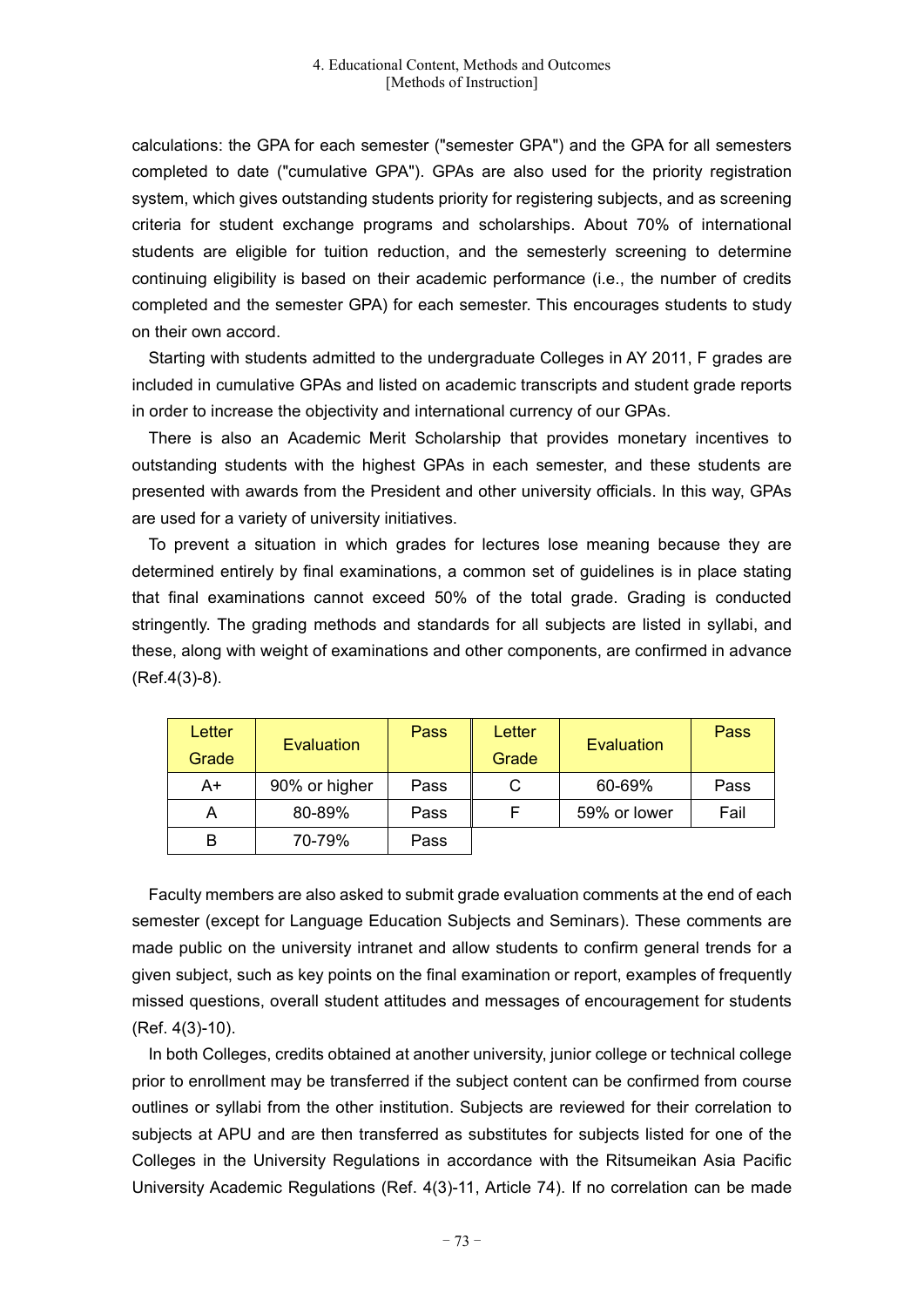calculations: the GPA for each semester ("semester GPA") and the GPA for all semesters completed to date ("cumulative GPA"). GPAs are also used for the priority registration system, which gives outstanding students priority for registering subjects, and as screening criteria for student exchange programs and scholarships. About 70% of international students are eligible for tuition reduction, and the semesterly screening to determine continuing eligibility is based on their academic performance (i.e., the number of credits completed and the semester GPA) for each semester. This encourages students to study on their own accord.

Starting with students admitted to the undergraduate Colleges in AY 2011, F grades are included in cumulative GPAs and listed on academic transcripts and student grade reports in order to increase the objectivity and international currency of our GPAs.

There is also an Academic Merit Scholarship that provides monetary incentives to outstanding students with the highest GPAs in each semester, and these students are presented with awards from the President and other university officials. In this way, GPAs are used for a variety of university initiatives.

To prevent a situation in which grades for lectures lose meaning because they are determined entirely by final examinations, a common set of guidelines is in place stating that final examinations cannot exceed 50% of the total grade. Grading is conducted stringently. The grading methods and standards for all subjects are listed in syllabi, and these, along with weight of examinations and other components, are confirmed in advance (Ref.4(3)-8).

| Letter<br>Grade | Evaluation    | Pass | Letter<br>Grade | Evaluation   | Pass |
|-----------------|---------------|------|-----------------|--------------|------|
| A+              | 90% or higher | Pass | C               | 60-69%       | Pass |
| A               | 80-89%        | Pass |                 | 59% or lower | Fail |
| B               | 70-79%        | Pass |                 |              |      |

Faculty members are also asked to submit grade evaluation comments at the end of each semester (except for Language Education Subjects and Seminars). These comments are made public on the university intranet and allow students to confirm general trends for a given subject, such as key points on the final examination or report, examples of frequently missed questions, overall student attitudes and messages of encouragement for students (Ref. 4(3)-10).

In both Colleges, credits obtained at another university, junior college or technical college prior to enrollment may be transferred if the subject content can be confirmed from course outlines or syllabi from the other institution. Subjects are reviewed for their correlation to subjects at APU and are then transferred as substitutes for subjects listed for one of the Colleges in the University Regulations in accordance with the Ritsumeikan Asia Pacific University Academic Regulations (Ref. 4(3)-11, Article 74). If no correlation can be made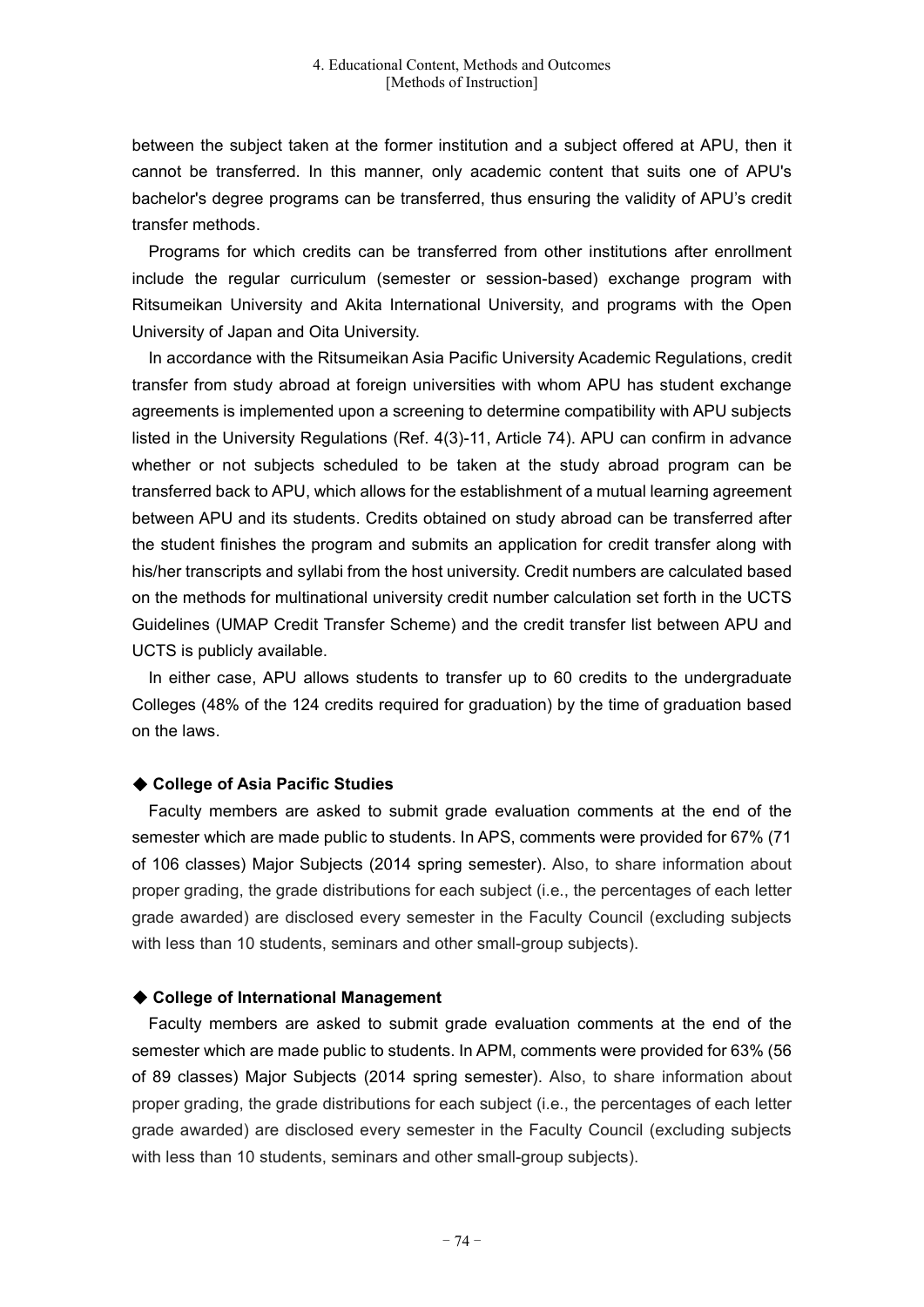between the subject taken at the former institution and a subject offered at APU, then it cannot be transferred. In this manner, only academic content that suits one of APU's bachelor's degree programs can be transferred, thus ensuring the validity of APU's credit transfer methods.

Programs for which credits can be transferred from other institutions after enrollment include the regular curriculum (semester or session-based) exchange program with Ritsumeikan University and Akita International University, and programs with the Open University of Japan and Oita University.

In accordance with the Ritsumeikan Asia Pacific University Academic Regulations, credit transfer from study abroad at foreign universities with whom APU has student exchange agreements is implemented upon a screening to determine compatibility with APU subjects listed in the University Regulations (Ref. 4(3)-11, Article 74). APU can confirm in advance whether or not subjects scheduled to be taken at the study abroad program can be transferred back to APU, which allows for the establishment of a mutual learning agreement between APU and its students. Credits obtained on study abroad can be transferred after the student finishes the program and submits an application for credit transfer along with his/her transcripts and syllabi from the host university. Credit numbers are calculated based on the methods for multinational university credit number calculation set forth in the UCTS Guidelines (UMAP Credit Transfer Scheme) and the credit transfer list between APU and UCTS is publicly available.

In either case, APU allows students to transfer up to 60 credits to the undergraduate Colleges (48% of the 124 credits required for graduation) by the time of graduation based on the laws.

#### ◆ **College of Asia Pacific Studies**

Faculty members are asked to submit grade evaluation comments at the end of the semester which are made public to students. In APS, comments were provided for 67% (71 of 106 classes) Major Subjects (2014 spring semester). Also, to share information about proper grading, the grade distributions for each subject (i.e., the percentages of each letter grade awarded) are disclosed every semester in the Faculty Council (excluding subjects with less than 10 students, seminars and other small-group subjects).

#### ◆ **College of International Management**

Faculty members are asked to submit grade evaluation comments at the end of the semester which are made public to students. In APM, comments were provided for 63% (56 of 89 classes) Major Subjects (2014 spring semester). Also, to share information about proper grading, the grade distributions for each subject (i.e., the percentages of each letter grade awarded) are disclosed every semester in the Faculty Council (excluding subjects with less than 10 students, seminars and other small-group subjects).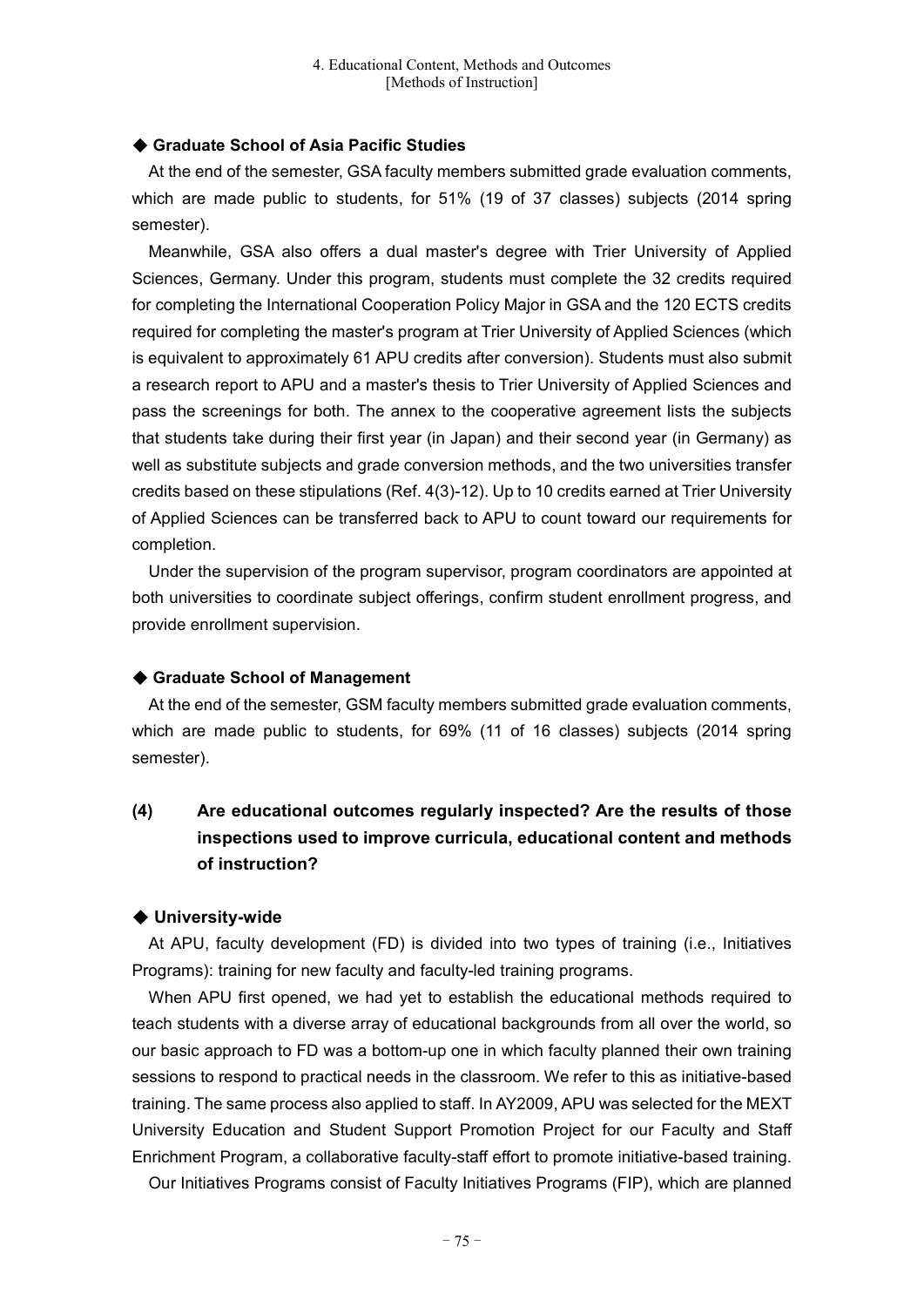#### ◆ **Graduate School of Asia Pacific Studies**

At the end of the semester, GSA faculty members submitted grade evaluation comments, which are made public to students, for 51% (19 of 37 classes) subjects (2014 spring semester).

Meanwhile, GSA also offers a dual master's degree with Trier University of Applied Sciences, Germany. Under this program, students must complete the 32 credits required for completing the International Cooperation Policy Major in GSA and the 120 ECTS credits required for completing the master's program at Trier University of Applied Sciences (which is equivalent to approximately 61 APU credits after conversion). Students must also submit a research report to APU and a master's thesis to Trier University of Applied Sciences and pass the screenings for both. The annex to the cooperative agreement lists the subjects that students take during their first year (in Japan) and their second year (in Germany) as well as substitute subjects and grade conversion methods, and the two universities transfer credits based on these stipulations (Ref. 4(3)-12). Up to 10 credits earned at Trier University of Applied Sciences can be transferred back to APU to count toward our requirements for completion.

Under the supervision of the program supervisor, program coordinators are appointed at both universities to coordinate subject offerings, confirm student enrollment progress, and provide enrollment supervision.

# ◆ **Graduate School of Management**

At the end of the semester, GSM faculty members submitted grade evaluation comments, which are made public to students, for 69% (11 of 16 classes) subjects (2014 spring semester).

# **(4) Are educational outcomes regularly inspected? Are the results of those inspections used to improve curricula, educational content and methods of instruction?**

#### ◆ **University-wide**

At APU, faculty development (FD) is divided into two types of training (i.e., Initiatives Programs): training for new faculty and faculty-led training programs.

When APU first opened, we had yet to establish the educational methods required to teach students with a diverse array of educational backgrounds from all over the world, so our basic approach to FD was a bottom-up one in which faculty planned their own training sessions to respond to practical needs in the classroom. We refer to this as initiative-based training. The same process also applied to staff. In AY2009, APU was selected for the MEXT University Education and Student Support Promotion Project for our Faculty and Staff Enrichment Program, a collaborative faculty-staff effort to promote initiative-based training.

Our Initiatives Programs consist of Faculty Initiatives Programs (FIP), which are planned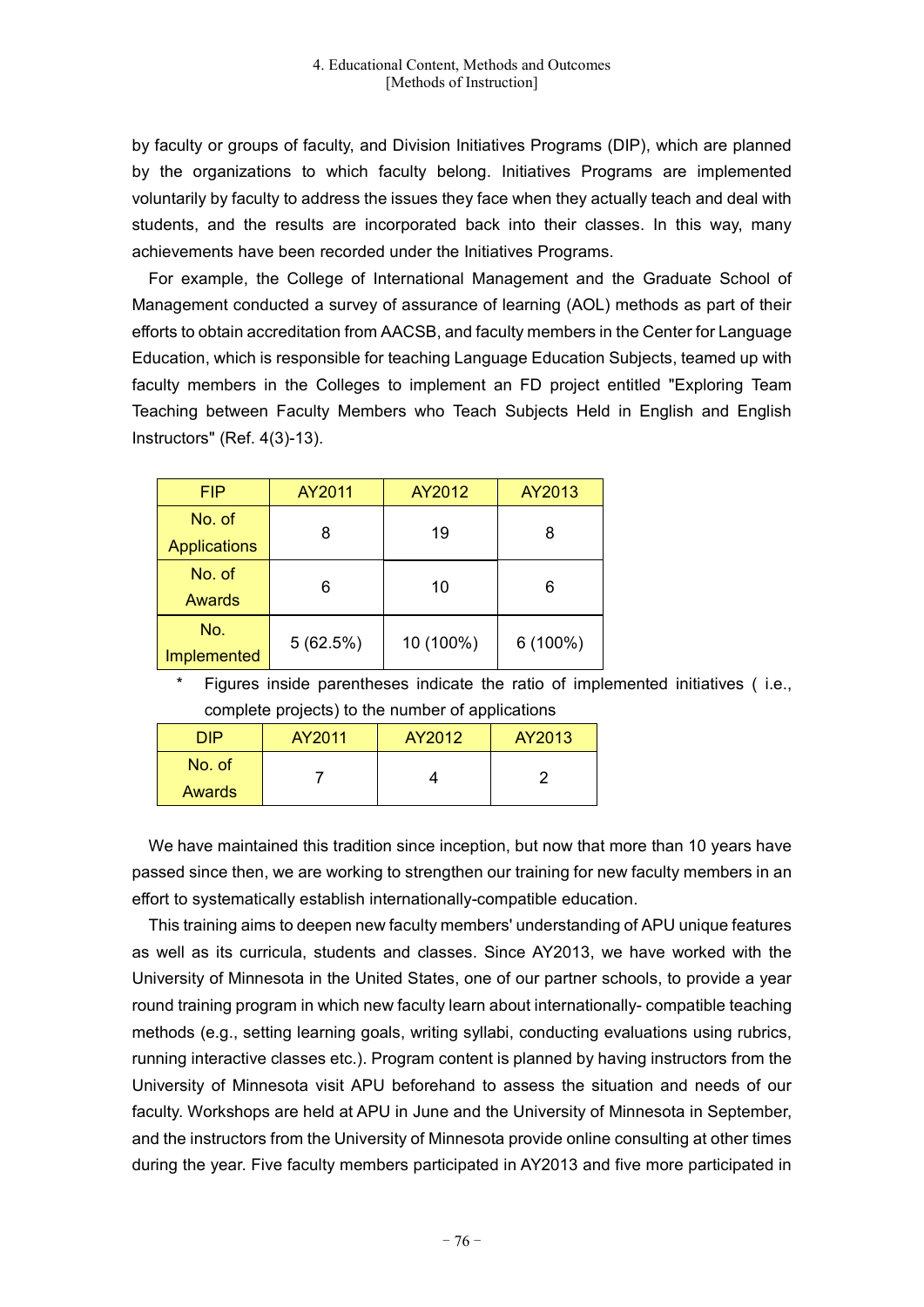by faculty or groups of faculty, and Division Initiatives Programs (DIP), which are planned by the organizations to which faculty belong. Initiatives Programs are implemented voluntarily by faculty to address the issues they face when they actually teach and deal with students, and the results are incorporated back into their classes. In this way, many achievements have been recorded under the Initiatives Programs.

For example, the College of International Management and the Graduate School of Management conducted a survey of assurance of learning (AOL) methods as part of their efforts to obtain accreditation from AACSB, and faculty members in the Center for Language Education, which is responsible for teaching Language Education Subjects, teamed up with faculty members in the Colleges to implement an FD project entitled "Exploring Team Teaching between Faculty Members who Teach Subjects Held in English and English Instructors" (Ref. 4(3)-13).

| <b>FIP</b>          | AY2011   | AY2012    | AY2013     |  |
|---------------------|----------|-----------|------------|--|
| No. of              | 8        | 19        | 8          |  |
| <b>Applications</b> |          |           |            |  |
| No. of              |          |           | 6          |  |
| Awards              | 6        | 10        |            |  |
| No.                 | 5(62.5%) | 10 (100%) | $6(100\%)$ |  |
| Implemented         |          |           |            |  |

Figures inside parentheses indicate the ratio of implemented initiatives (i.e., complete projects) to the number of applications

| DIP    | AY2011 | AY2012 | AY2013 |
|--------|--------|--------|--------|
| No. of |        |        |        |
| Awards |        |        |        |

We have maintained this tradition since inception, but now that more than 10 years have passed since then, we are working to strengthen our training for new faculty members in an effort to systematically establish internationally-compatible education.

This training aims to deepen new faculty members' understanding of APU unique features as well as its curricula, students and classes. Since AY2013, we have worked with the University of Minnesota in the United States, one of our partner schools, to provide a year round training program in which new faculty learn about internationally- compatible teaching methods (e.g., setting learning goals, writing syllabi, conducting evaluations using rubrics, running interactive classes etc.). Program content is planned by having instructors from the University of Minnesota visit APU beforehand to assess the situation and needs of our faculty. Workshops are held at APU in June and the University of Minnesota in September, and the instructors from the University of Minnesota provide online consulting at other times during the year. Five faculty members participated in AY2013 and five more participated in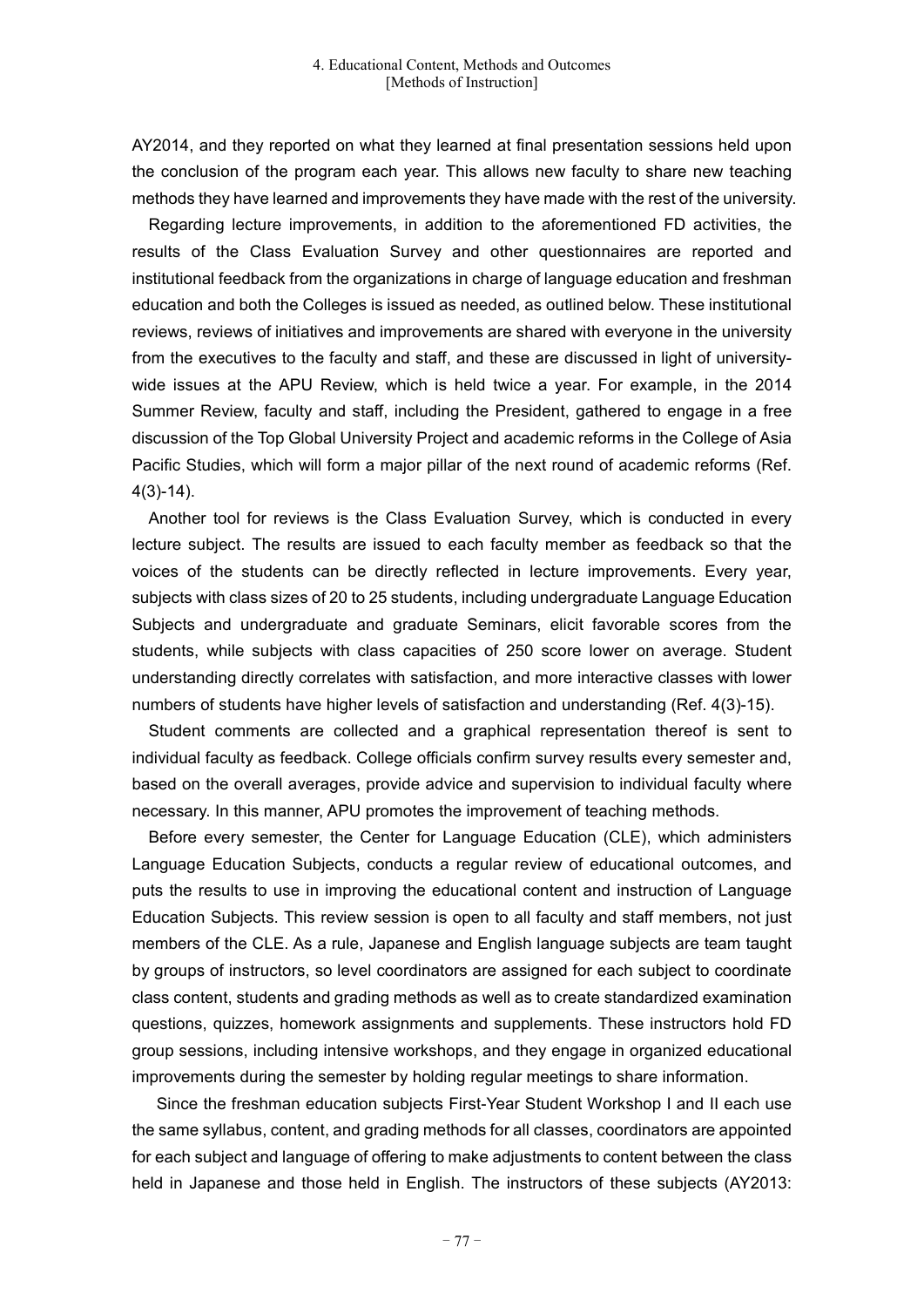AY2014, and they reported on what they learned at final presentation sessions held upon the conclusion of the program each year. This allows new faculty to share new teaching methods they have learned and improvements they have made with the rest of the university.

Regarding lecture improvements, in addition to the aforementioned FD activities, the results of the Class Evaluation Survey and other questionnaires are reported and institutional feedback from the organizations in charge of language education and freshman education and both the Colleges is issued as needed, as outlined below. These institutional reviews, reviews of initiatives and improvements are shared with everyone in the university from the executives to the faculty and staff, and these are discussed in light of universitywide issues at the APU Review, which is held twice a year. For example, in the 2014 Summer Review, faculty and staff, including the President, gathered to engage in a free discussion of the Top Global University Project and academic reforms in the College of Asia Pacific Studies, which will form a major pillar of the next round of academic reforms (Ref. 4(3)-14).

Another tool for reviews is the Class Evaluation Survey, which is conducted in every lecture subject. The results are issued to each faculty member as feedback so that the voices of the students can be directly reflected in lecture improvements. Every year, subjects with class sizes of 20 to 25 students, including undergraduate Language Education Subjects and undergraduate and graduate Seminars, elicit favorable scores from the students, while subjects with class capacities of 250 score lower on average. Student understanding directly correlates with satisfaction, and more interactive classes with lower numbers of students have higher levels of satisfaction and understanding (Ref. 4(3)-15).

Student comments are collected and a graphical representation thereof is sent to individual faculty as feedback. College officials confirm survey results every semester and, based on the overall averages, provide advice and supervision to individual faculty where necessary. In this manner, APU promotes the improvement of teaching methods.

Before every semester, the Center for Language Education (CLE), which administers Language Education Subjects, conducts a regular review of educational outcomes, and puts the results to use in improving the educational content and instruction of Language Education Subjects. This review session is open to all faculty and staff members, not just members of the CLE. As a rule, Japanese and English language subjects are team taught by groups of instructors, so level coordinators are assigned for each subject to coordinate class content, students and grading methods as well as to create standardized examination questions, quizzes, homework assignments and supplements. These instructors hold FD group sessions, including intensive workshops, and they engage in organized educational improvements during the semester by holding regular meetings to share information.

Since the freshman education subjects First-Year Student Workshop I and II each use the same syllabus, content, and grading methods for all classes, coordinators are appointed for each subject and language of offering to make adjustments to content between the class held in Japanese and those held in English. The instructors of these subjects (AY2013: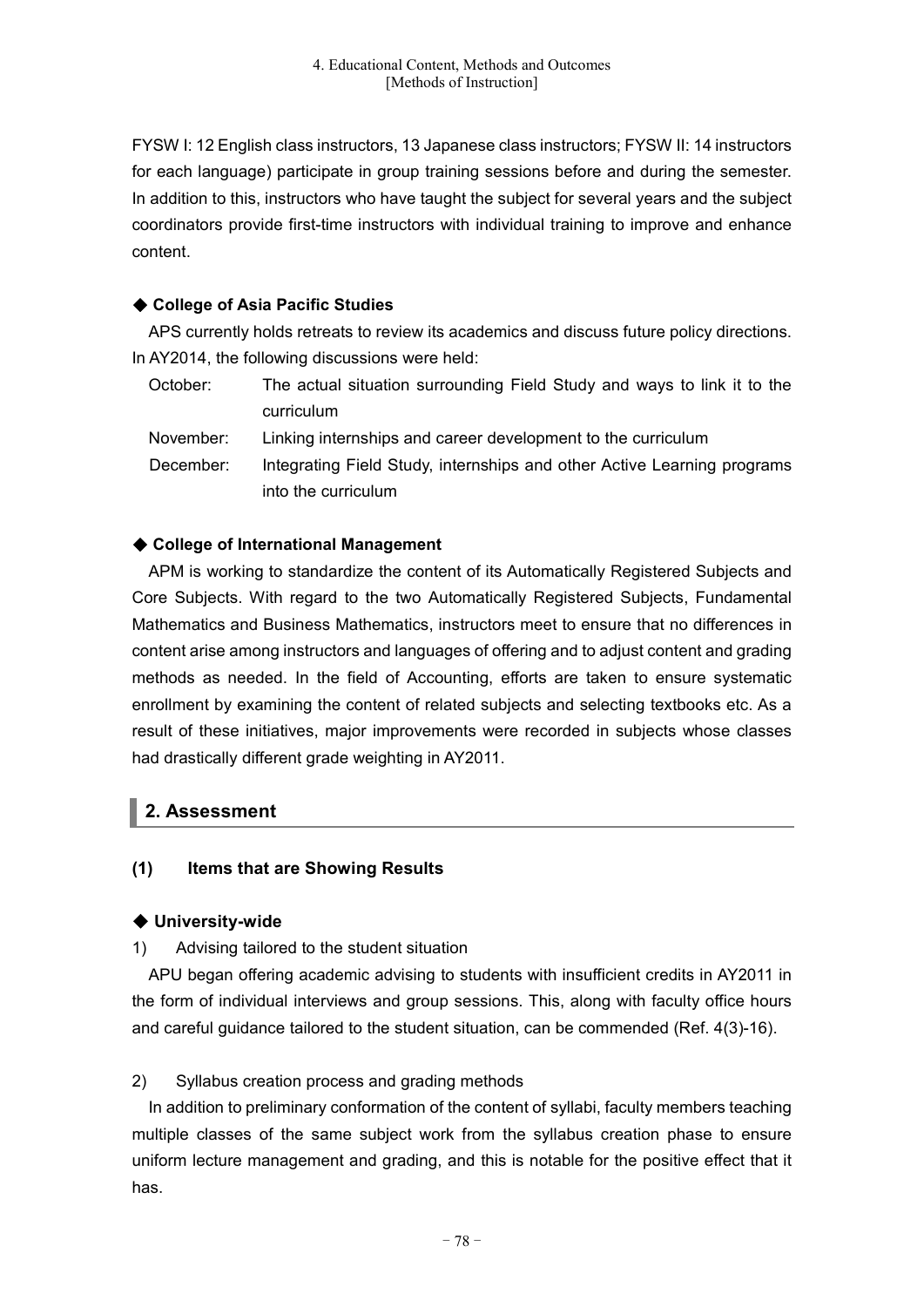FYSW I: 12 English class instructors, 13 Japanese class instructors; FYSW II: 14 instructors for each language) participate in group training sessions before and during the semester. In addition to this, instructors who have taught the subject for several years and the subject coordinators provide first-time instructors with individual training to improve and enhance content.

# ◆ **College of Asia Pacific Studies**

APS currently holds retreats to review its academics and discuss future policy directions. In AY2014, the following discussions were held:

| October:  | The actual situation surrounding Field Study and ways to link it to the                        |
|-----------|------------------------------------------------------------------------------------------------|
|           | curriculum                                                                                     |
| November: | Linking internships and career development to the curriculum                                   |
| December: | Integrating Field Study, internships and other Active Learning programs<br>into the curriculum |

# ◆ **College of International Management**

APM is working to standardize the content of its Automatically Registered Subjects and Core Subjects. With regard to the two Automatically Registered Subjects, Fundamental Mathematics and Business Mathematics, instructors meet to ensure that no differences in content arise among instructors and languages of offering and to adjust content and grading methods as needed. In the field of Accounting, efforts are taken to ensure systematic enrollment by examining the content of related subjects and selecting textbooks etc. As a result of these initiatives, major improvements were recorded in subjects whose classes had drastically different grade weighting in AY2011.

# **2. Assessment**

# **(1) Items that are Showing Results**

# ◆ **University-wide**

1) Advising tailored to the student situation

APU began offering academic advising to students with insufficient credits in AY2011 in the form of individual interviews and group sessions. This, along with faculty office hours and careful guidance tailored to the student situation, can be commended (Ref. 4(3)-16).

# 2) Syllabus creation process and grading methods

In addition to preliminary conformation of the content of syllabi, faculty members teaching multiple classes of the same subject work from the syllabus creation phase to ensure uniform lecture management and grading, and this is notable for the positive effect that it has.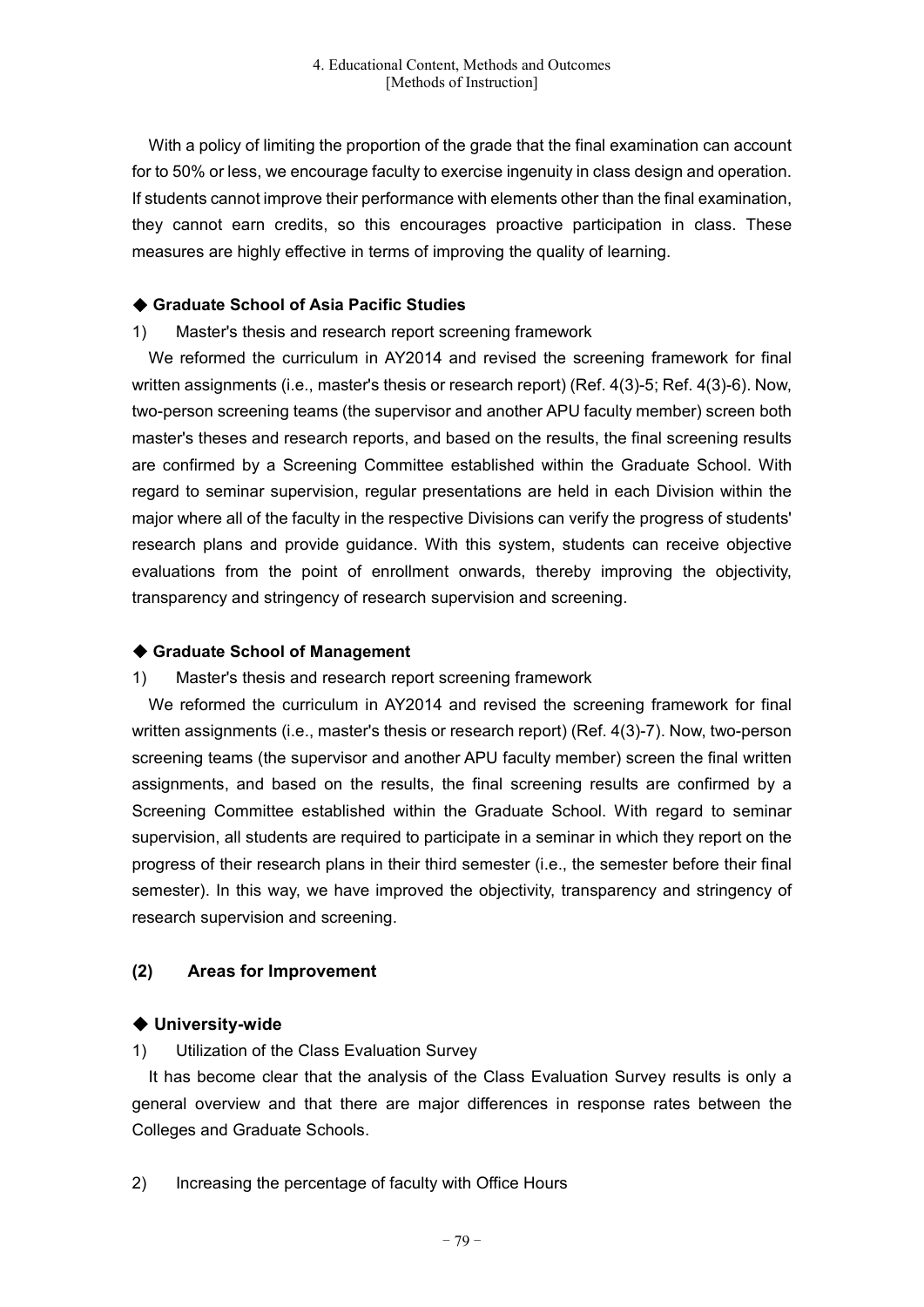With a policy of limiting the proportion of the grade that the final examination can account for to 50% or less, we encourage faculty to exercise ingenuity in class design and operation. If students cannot improve their performance with elements other than the final examination, they cannot earn credits, so this encourages proactive participation in class. These measures are highly effective in terms of improving the quality of learning.

#### ◆ **Graduate School of Asia Pacific Studies**

#### 1) Master's thesis and research report screening framework

We reformed the curriculum in AY2014 and revised the screening framework for final written assignments (i.e., master's thesis or research report) (Ref. 4(3)-5; Ref. 4(3)-6). Now, two-person screening teams (the supervisor and another APU faculty member) screen both master's theses and research reports, and based on the results, the final screening results are confirmed by a Screening Committee established within the Graduate School. With regard to seminar supervision, regular presentations are held in each Division within the major where all of the faculty in the respective Divisions can verify the progress of students' research plans and provide guidance. With this system, students can receive objective evaluations from the point of enrollment onwards, thereby improving the objectivity, transparency and stringency of research supervision and screening.

### ◆ **Graduate School of Management**

# 1) Master's thesis and research report screening framework

We reformed the curriculum in AY2014 and revised the screening framework for final written assignments (i.e., master's thesis or research report) (Ref. 4(3)-7). Now, two-person screening teams (the supervisor and another APU faculty member) screen the final written assignments, and based on the results, the final screening results are confirmed by a Screening Committee established within the Graduate School. With regard to seminar supervision, all students are required to participate in a seminar in which they report on the progress of their research plans in their third semester (i.e., the semester before their final semester). In this way, we have improved the objectivity, transparency and stringency of research supervision and screening.

# **(2) Areas for Improvement**

# ◆ **University-wide**

# 1) Utilization of the Class Evaluation Survey

It has become clear that the analysis of the Class Evaluation Survey results is only a general overview and that there are major differences in response rates between the Colleges and Graduate Schools.

2) Increasing the percentage of faculty with Office Hours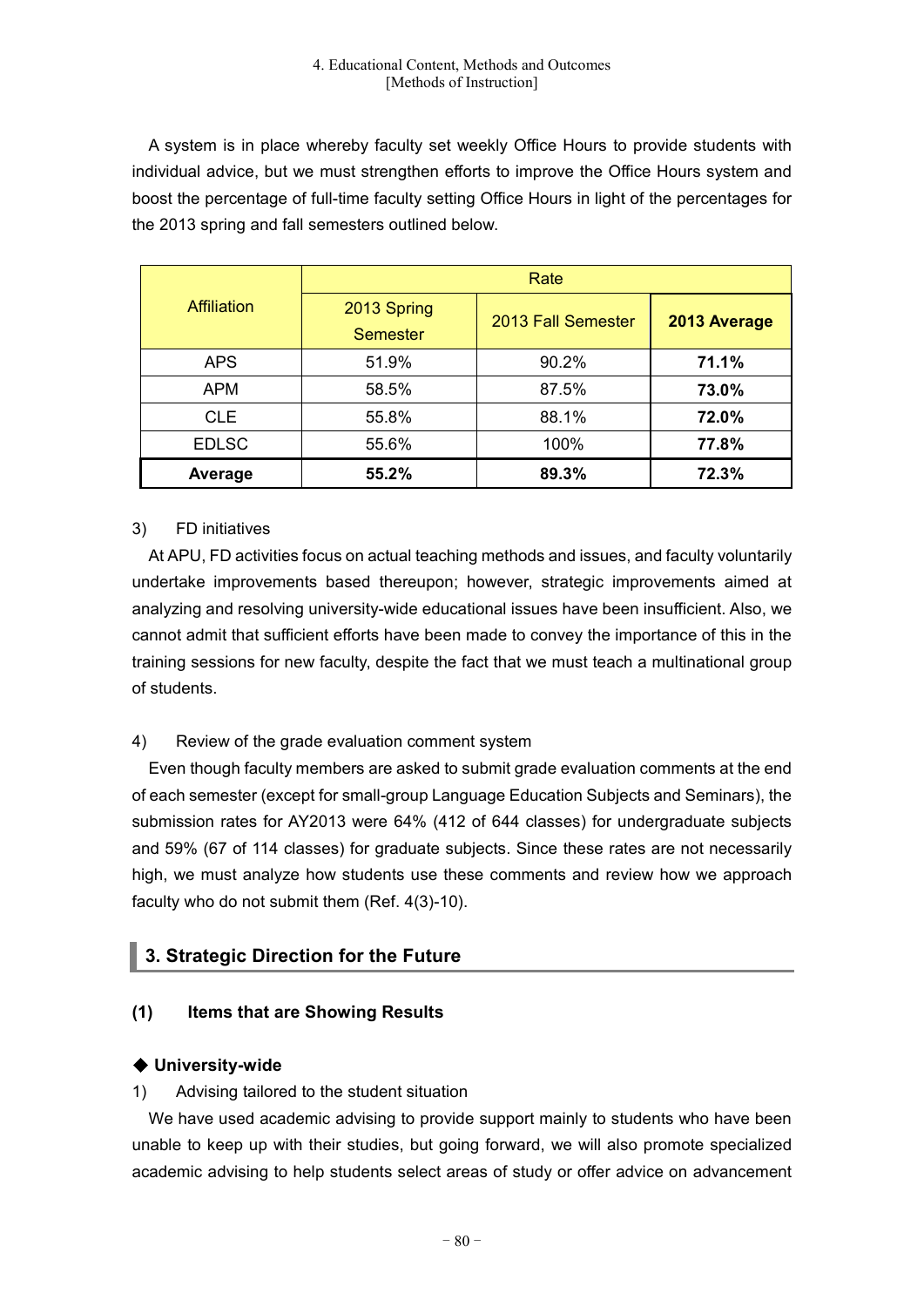A system is in place whereby faculty set weekly Office Hours to provide students with individual advice, but we must strengthen efforts to improve the Office Hours system and boost the percentage of full-time faculty setting Office Hours in light of the percentages for the 2013 spring and fall semesters outlined below.

| <b>Affiliation</b> | Rate            |                    |              |
|--------------------|-----------------|--------------------|--------------|
|                    | 2013 Spring     | 2013 Fall Semester | 2013 Average |
|                    | <b>Semester</b> |                    |              |
| <b>APS</b>         | 51.9%           | 90.2%              | 71.1%        |
| <b>APM</b>         | 58.5%           | 87.5%              | 73.0%        |
| <b>CLE</b>         | 55.8%           | 88.1%              | 72.0%        |
| <b>EDLSC</b>       | 55.6%           | 100%               | 77.8%        |
| Average            | 55.2%           | 89.3%              | 72.3%        |

# 3) FD initiatives

At APU, FD activities focus on actual teaching methods and issues, and faculty voluntarily undertake improvements based thereupon; however, strategic improvements aimed at analyzing and resolving university-wide educational issues have been insufficient. Also, we cannot admit that sufficient efforts have been made to convey the importance of this in the training sessions for new faculty, despite the fact that we must teach a multinational group of students.

# 4) Review of the grade evaluation comment system

Even though faculty members are asked to submit grade evaluation comments at the end of each semester (except for small-group Language Education Subjects and Seminars), the submission rates for AY2013 were 64% (412 of 644 classes) for undergraduate subjects and 59% (67 of 114 classes) for graduate subjects. Since these rates are not necessarily high, we must analyze how students use these comments and review how we approach faculty who do not submit them (Ref. 4(3)-10).

# **3. Strategic Direction for the Future**

# **(1) Items that are Showing Results**

# ◆ **University-wide**

# 1) Advising tailored to the student situation

We have used academic advising to provide support mainly to students who have been unable to keep up with their studies, but going forward, we will also promote specialized academic advising to help students select areas of study or offer advice on advancement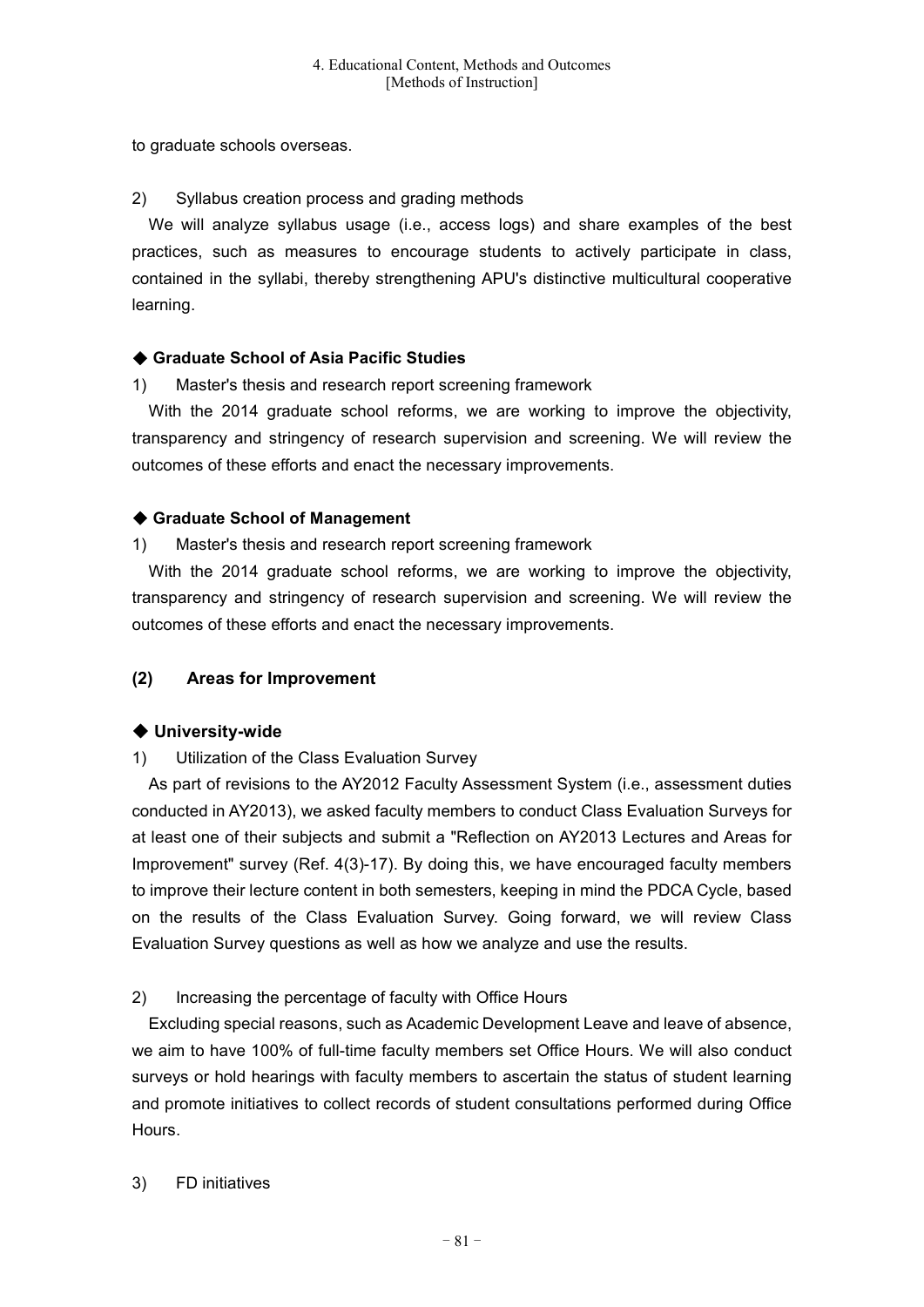to graduate schools overseas.

# 2) Syllabus creation process and grading methods

We will analyze syllabus usage (i.e., access logs) and share examples of the best practices, such as measures to encourage students to actively participate in class, contained in the syllabi, thereby strengthening APU's distinctive multicultural cooperative learning.

# ◆ **Graduate School of Asia Pacific Studies**

# 1) Master's thesis and research report screening framework

With the 2014 graduate school reforms, we are working to improve the objectivity, transparency and stringency of research supervision and screening. We will review the outcomes of these efforts and enact the necessary improvements.

# ◆ **Graduate School of Management**

1) Master's thesis and research report screening framework

With the 2014 graduate school reforms, we are working to improve the objectivity, transparency and stringency of research supervision and screening. We will review the outcomes of these efforts and enact the necessary improvements.

# **(2) Areas for Improvement**

# ◆ **University-wide**

# 1) Utilization of the Class Evaluation Survey

As part of revisions to the AY2012 Faculty Assessment System (i.e., assessment duties conducted in AY2013), we asked faculty members to conduct Class Evaluation Surveys for at least one of their subjects and submit a "Reflection on AY2013 Lectures and Areas for Improvement" survey (Ref. 4(3)-17). By doing this, we have encouraged faculty members to improve their lecture content in both semesters, keeping in mind the PDCA Cycle, based on the results of the Class Evaluation Survey. Going forward, we will review Class Evaluation Survey questions as well as how we analyze and use the results.

# 2) Increasing the percentage of faculty with Office Hours

Excluding special reasons, such as Academic Development Leave and leave of absence, we aim to have 100% of full-time faculty members set Office Hours. We will also conduct surveys or hold hearings with faculty members to ascertain the status of student learning and promote initiatives to collect records of student consultations performed during Office Hours.

# 3) FD initiatives